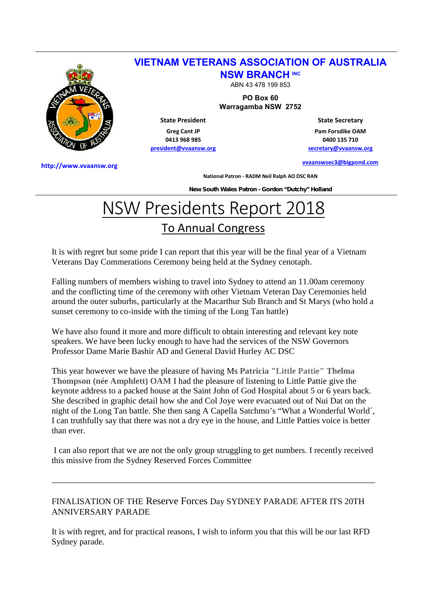

## **VIETNAM VETERANS ASSOCIATION OF AUSTRALIA NSW BRANCH INC**

ABN 43 478 199 853

**PO Box 60**

**Warragamba NSW 2752**

**State President Greg Cant JP 0413 968 985**

**president@vvaansw.org**

**State Secretary Pam Forsdike OAM 0400 135 710 secretary@vvaansw.org**

**vvaanswsec3@bigpond.com**

**http://www.vvaansw.org**

**National Patron - RADM Neil Ralph AO DSC RAN**

**New South Wales Patron - Gordon "Dutchy" Holland**

## NSW Presidents Report 2018 To Annual Congress

It is with regret but some pride I can report that this year will be the final year of a Vietnam Veterans Day Commerations Ceremony being held at the Sydney cenotaph.

Falling numbers of members wishing to travel into Sydney to attend an 11.00am ceremony and the conflicting time of the ceremony with other Vietnam Veteran Day Ceremonies held around the outer suburbs, particularly at the Macarthur Sub Branch and St Marys (who hold a sunset ceremony to co-inside with the timing of the Long Tan battle)

We have also found it more and more difficult to obtain interesting and relevant key note speakers. We have been lucky enough to have had the services of the NSW Governors Professor Dame Marie Bashir AD and General David Hurley AC DSC

This year however we have the pleasure of having Ms **Patricia "Little Pattie" Thelma Thompson (née Amphlett) OAM** I had the pleasure of listening to Little Pattie give the keynote address to a packed house at the Saint John of God Hospital about 5 or 6 years back. She described in graphic detail how she and Col Joye were evacuated out of Nui Dat on the night of the Long Tan battle. She then sang A Capella Satchmo's "What a Wonderful World´, I can truthfully say that there was not a dry eye in the house, and Little Patties voice is better than ever.

I can also report that we are not the only group struggling to get numbers. I recently received this missive from the Sydney Reserved Forces Committee

## FINALISATION OF THE Reserve Forces Day SYDNEY PARADE AFTER ITS 20TH ANNIVERSARY PARADE

It is with regret, and for practical reasons, I wish to inform you that this will be our last RFD Sydney parade.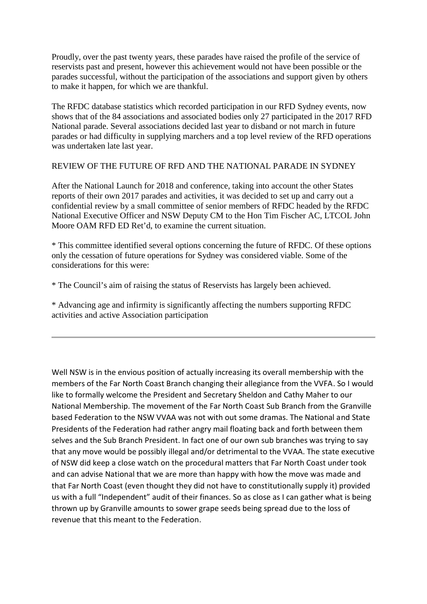Proudly, over the past twenty years, these parades have raised the profile of the service of reservists past and present, however this achievement would not have been possible or the parades successful, without the participation of the associations and support given by others to make it happen, for which we are thankful.

The RFDC database statistics which recorded participation in our RFD Sydney events, now shows that of the 84 associations and associated bodies only 27 participated in the 2017 RFD National parade. Several associations decided last year to disband or not march in future parades or had difficulty in supplying marchers and a top level review of the RFD operations was undertaken late last year.

## REVIEW OF THE FUTURE OF RFD AND THE NATIONAL PARADE IN SYDNEY

After the National Launch for 2018 and conference, taking into account the other States reports of their own 2017 parades and activities, it was decided to set up and carry out a confidential review by a small committee of senior members of RFDC headed by the RFDC National Executive Officer and NSW Deputy CM to the Hon Tim Fischer AC, LTCOL John Moore OAM RFD ED Ret'd, to examine the current situation.

\* This committee identified several options concerning the future of RFDC. Of these options only the cessation of future operations for Sydney was considered viable. Some of the considerations for this were:

\* The Council's aim of raising the status of Reservists has largely been achieved.

\* Advancing age and infirmity is significantly affecting the numbers supporting RFDC activities and active Association participation

Well NSW is in the envious position of actually increasing its overall membership with the members of the Far North Coast Branch changing their allegiance from the VVFA. So I would like to formally welcome the President and Secretary Sheldon and Cathy Maher to our National Membership. The movement of the Far North Coast Sub Branch from the Granville based Federation to the NSW VVAA was not with out some dramas. The National and State Presidents of the Federation had rather angry mail floating back and forth between them selves and the Sub Branch President. In fact one of our own sub branches was trying to say that any move would be possibly illegal and/or detrimental to the VVAA. The state executive of NSW did keep a close watch on the procedural matters that Far North Coast under took and can advise National that we are more than happy with how the move was made and that Far North Coast (even thought they did not have to constitutionally supply it) provided us with a full "Independent" audit of their finances. So as close as I can gather what is being thrown up by Granville amounts to sower grape seeds being spread due to the loss of revenue that this meant to the Federation.